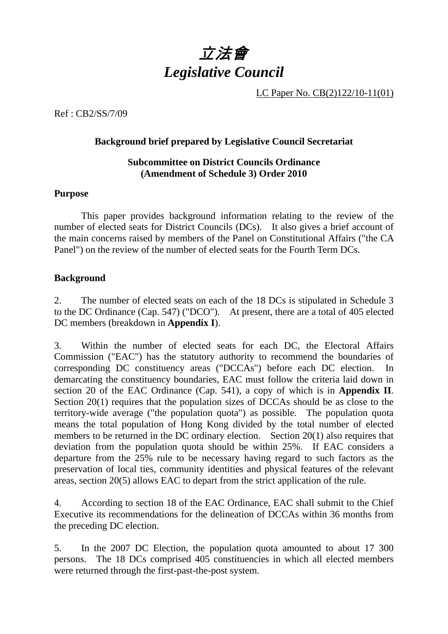

LC Paper No. CB(2)122/10-11(01)

Ref : CB2/SS/7/09

### **Background brief prepared by Legislative Council Secretariat**

## **Subcommittee on District Councils Ordinance (Amendment of Schedule 3) Order 2010**

### **Purpose**

 This paper provides background information relating to the review of the number of elected seats for District Councils (DCs). It also gives a brief account of the main concerns raised by members of the Panel on Constitutional Affairs ("the CA Panel") on the review of the number of elected seats for the Fourth Term DCs.

## **Background**

2. The number of elected seats on each of the 18 DCs is stipulated in Schedule 3 to the DC Ordinance (Cap. 547) ("DCO"). At present, there are a total of 405 elected DC members (breakdown in **Appendix I**).

3. Within the number of elected seats for each DC, the Electoral Affairs Commission ("EAC") has the statutory authority to recommend the boundaries of corresponding DC constituency areas ("DCCAs") before each DC election. In demarcating the constituency boundaries, EAC must follow the criteria laid down in section 20 of the EAC Ordinance (Cap. 541), a copy of which is in **Appendix II**. Section 20(1) requires that the population sizes of DCCAs should be as close to the territory-wide average ("the population quota") as possible. The population quota means the total population of Hong Kong divided by the total number of elected members to be returned in the DC ordinary election. Section 20(1) also requires that deviation from the population quota should be within 25%. If EAC considers a departure from the 25% rule to be necessary having regard to such factors as the preservation of local ties, community identities and physical features of the relevant areas, section 20(5) allows EAC to depart from the strict application of the rule.

4. According to section 18 of the EAC Ordinance, EAC shall submit to the Chief Executive its recommendations for the delineation of DCCAs within 36 months from the preceding DC election.

5. In the 2007 DC Election, the population quota amounted to about 17 300 persons. The 18 DCs comprised 405 constituencies in which all elected members were returned through the first-past-the-post system.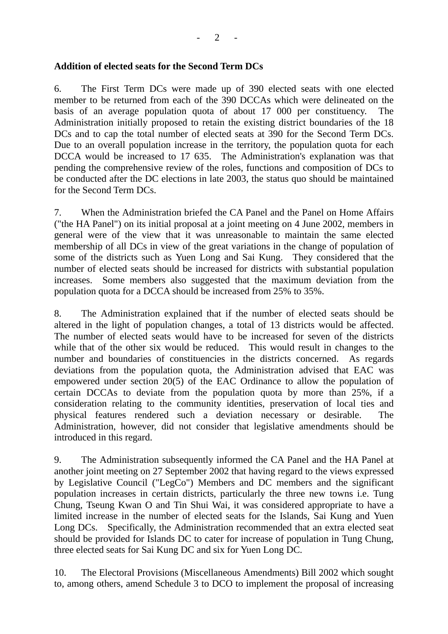## **Addition of elected seats for the Second Term DCs**

6. The First Term DCs were made up of 390 elected seats with one elected member to be returned from each of the 390 DCCAs which were delineated on the basis of an average population quota of about 17 000 per constituency. The Administration initially proposed to retain the existing district boundaries of the 18 DCs and to cap the total number of elected seats at 390 for the Second Term DCs. Due to an overall population increase in the territory, the population quota for each DCCA would be increased to 17 635. The Administration's explanation was that pending the comprehensive review of the roles, functions and composition of DCs to be conducted after the DC elections in late 2003, the status quo should be maintained for the Second Term DCs.

7. When the Administration briefed the CA Panel and the Panel on Home Affairs ("the HA Panel") on its initial proposal at a joint meeting on 4 June 2002, members in general were of the view that it was unreasonable to maintain the same elected membership of all DCs in view of the great variations in the change of population of some of the districts such as Yuen Long and Sai Kung. They considered that the number of elected seats should be increased for districts with substantial population increases. Some members also suggested that the maximum deviation from the population quota for a DCCA should be increased from 25% to 35%.

8. The Administration explained that if the number of elected seats should be altered in the light of population changes, a total of 13 districts would be affected. The number of elected seats would have to be increased for seven of the districts while that of the other six would be reduced. This would result in changes to the number and boundaries of constituencies in the districts concerned. As regards deviations from the population quota, the Administration advised that EAC was empowered under section 20(5) of the EAC Ordinance to allow the population of certain DCCAs to deviate from the population quota by more than 25%, if a consideration relating to the community identities, preservation of local ties and physical features rendered such a deviation necessary or desirable. The Administration, however, did not consider that legislative amendments should be introduced in this regard.

9. The Administration subsequently informed the CA Panel and the HA Panel at another joint meeting on 27 September 2002 that having regard to the views expressed by Legislative Council ("LegCo") Members and DC members and the significant population increases in certain districts, particularly the three new towns i.e. Tung Chung, Tseung Kwan O and Tin Shui Wai, it was considered appropriate to have a limited increase in the number of elected seats for the Islands, Sai Kung and Yuen Long DCs. Specifically, the Administration recommended that an extra elected seat should be provided for Islands DC to cater for increase of population in Tung Chung, three elected seats for Sai Kung DC and six for Yuen Long DC.

10. The Electoral Provisions (Miscellaneous Amendments) Bill 2002 which sought to, among others, amend Schedule 3 to DCO to implement the proposal of increasing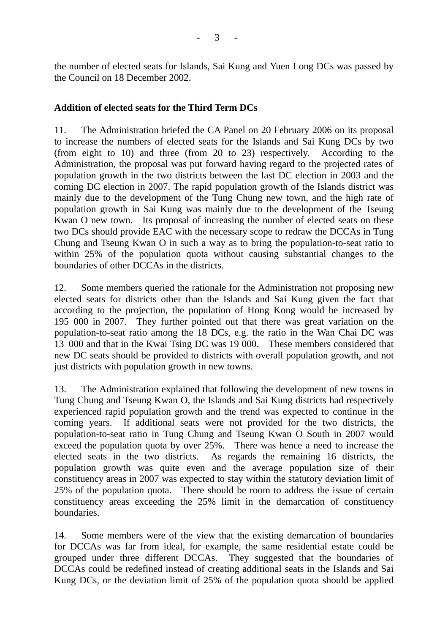the number of elected seats for Islands, Sai Kung and Yuen Long DCs was passed by the Council on 18 December 2002.

## **Addition of elected seats for the Third Term DCs**

11. The Administration briefed the CA Panel on 20 February 2006 on its proposal to increase the numbers of elected seats for the Islands and Sai Kung DCs by two (from eight to 10) and three (from 20 to 23) respectively. According to the Administration, the proposal was put forward having regard to the projected rates of population growth in the two districts between the last DC election in 2003 and the coming DC election in 2007. The rapid population growth of the Islands district was mainly due to the development of the Tung Chung new town, and the high rate of population growth in Sai Kung was mainly due to the development of the Tseung Kwan O new town. Its proposal of increasing the number of elected seats on these two DCs should provide EAC with the necessary scope to redraw the DCCAs in Tung Chung and Tseung Kwan O in such a way as to bring the population-to-seat ratio to within 25% of the population quota without causing substantial changes to the boundaries of other DCCAs in the districts.

12. Some members queried the rationale for the Administration not proposing new elected seats for districts other than the Islands and Sai Kung given the fact that according to the projection, the population of Hong Kong would be increased by 195 000 in 2007. They further pointed out that there was great variation on the population-to-seat ratio among the 18 DCs, e.g. the ratio in the Wan Chai DC was 13 000 and that in the Kwai Tsing DC was 19 000. These members considered that new DC seats should be provided to districts with overall population growth, and not just districts with population growth in new towns.

13. The Administration explained that following the development of new towns in Tung Chung and Tseung Kwan O, the Islands and Sai Kung districts had respectively experienced rapid population growth and the trend was expected to continue in the coming years. If additional seats were not provided for the two districts, the population-to-seat ratio in Tung Chung and Tseung Kwan O South in 2007 would exceed the population quota by over 25%. There was hence a need to increase the elected seats in the two districts. As regards the remaining 16 districts, the population growth was quite even and the average population size of their constituency areas in 2007 was expected to stay within the statutory deviation limit of 25% of the population quota. There should be room to address the issue of certain constituency areas exceeding the 25% limit in the demarcation of constituency boundaries.

14. Some members were of the view that the existing demarcation of boundaries for DCCAs was far from ideal, for example, the same residential estate could be grouped under three different DCCAs. They suggested that the boundaries of DCCAs could be redefined instead of creating additional seats in the Islands and Sai Kung DCs, or the deviation limit of 25% of the population quota should be applied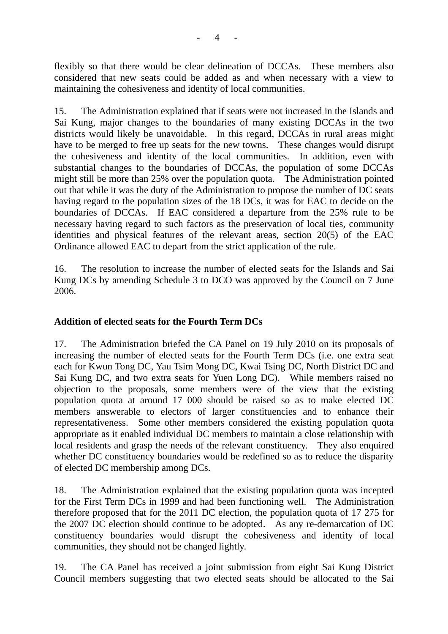flexibly so that there would be clear delineation of DCCAs. These members also considered that new seats could be added as and when necessary with a view to maintaining the cohesiveness and identity of local communities.

15. The Administration explained that if seats were not increased in the Islands and Sai Kung, major changes to the boundaries of many existing DCCAs in the two districts would likely be unavoidable. In this regard, DCCAs in rural areas might have to be merged to free up seats for the new towns. These changes would disrupt the cohesiveness and identity of the local communities. In addition, even with substantial changes to the boundaries of DCCAs, the population of some DCCAs might still be more than 25% over the population quota. The Administration pointed out that while it was the duty of the Administration to propose the number of DC seats having regard to the population sizes of the 18 DCs, it was for EAC to decide on the boundaries of DCCAs. If EAC considered a departure from the 25% rule to be necessary having regard to such factors as the preservation of local ties, community identities and physical features of the relevant areas, section 20(5) of the EAC Ordinance allowed EAC to depart from the strict application of the rule.

16. The resolution to increase the number of elected seats for the Islands and Sai Kung DCs by amending Schedule 3 to DCO was approved by the Council on 7 June 2006.

## **Addition of elected seats for the Fourth Term DCs**

17. The Administration briefed the CA Panel on 19 July 2010 on its proposals of increasing the number of elected seats for the Fourth Term DCs (i.e. one extra seat each for Kwun Tong DC, Yau Tsim Mong DC, Kwai Tsing DC, North District DC and Sai Kung DC, and two extra seats for Yuen Long DC). While members raised no objection to the proposals, some members were of the view that the existing population quota at around 17 000 should be raised so as to make elected DC members answerable to electors of larger constituencies and to enhance their representativeness. Some other members considered the existing population quota appropriate as it enabled individual DC members to maintain a close relationship with local residents and grasp the needs of the relevant constituency. They also enquired whether DC constituency boundaries would be redefined so as to reduce the disparity of elected DC membership among DCs.

18. The Administration explained that the existing population quota was incepted for the First Term DCs in 1999 and had been functioning well. The Administration therefore proposed that for the 2011 DC election, the population quota of 17 275 for the 2007 DC election should continue to be adopted. As any re-demarcation of DC constituency boundaries would disrupt the cohesiveness and identity of local communities, they should not be changed lightly.

19. The CA Panel has received a joint submission from eight Sai Kung District Council members suggesting that two elected seats should be allocated to the Sai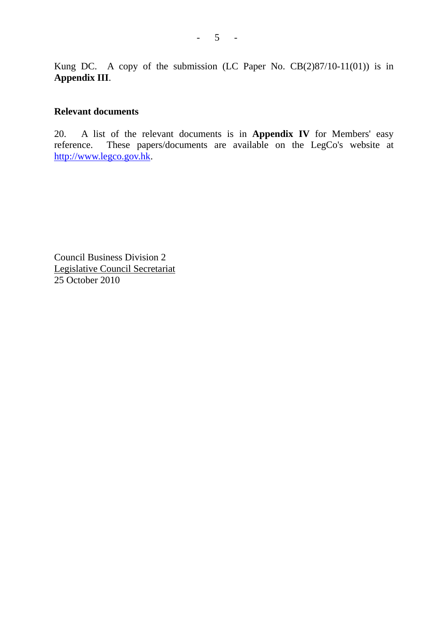Kung DC. A copy of the submission (LC Paper No. CB(2)87/10-11(01)) is in **Appendix III**.

#### **Relevant documents**

20. A list of the relevant documents is in **Appendix IV** for Members' easy reference. These papers/documents are available on the LegCo's website at These papers/documents are available on the LegCo's website at http://www.legco.gov.hk.

Council Business Division 2 Legislative Council Secretariat 25 October 2010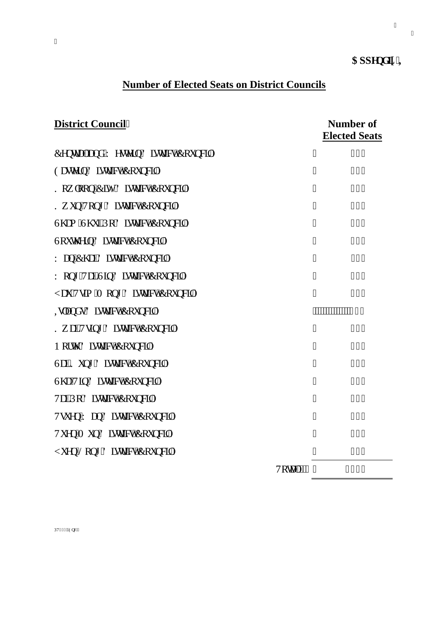# $\mathbf{Crr}$ gpf **k**<sup>'</sup>**K**

## **Number of Elected Seats on District Councils**

олование последников по последников с последников с последников с последников с последников с последников с по<br>В село в село в село в село в село в село в село в село в село в село в село в село в село в село в село в сел

| <b>District Council"</b>               |                    | <b>Number of</b><br><b>Elected Seats</b> |        |
|----------------------------------------|--------------------|------------------------------------------|--------|
| Egpwcn'cpf "Y guvgtp'F kuwtev'Eqwpekn' | 11                 |                                          | 37"    |
| Gcungtp'F kunt lev'Equopekn'           | $\pmb{\mathsf{H}}$ |                                          | 59"    |
| Mqy mqp'Ek {'F kwtkev'Eqwpekn'         | 11                 |                                          | 44"    |
| My wp"Vqpi 'F kutkev'Eqwpekn'          | 11                 |                                          | 56"    |
| Uj co "Uj wk'Rq'F kutlev'Eqwpekn'      | 11                 |                                          | 43"    |
| Uqwj gtp'F kutkev'Eqwpeki'             | 11                 |                                          | 39"    |
| Y cp'Ej ck'F kutkev'Eqwpekn'           | $\pmb{\mathsf{H}}$ |                                          | 33"    |
| Y qpi "Vck'Ukp'F kuxlev'Eqwpekn"       | "                  |                                          | 47"    |
| [cw'Vuko 'O qpi 'F kux kev'Eqwpekn'    | 11                 |                                          | 38"    |
| Kurpf u'F kutkev'Eqwpekn'              |                    | 10000000000000032                        |        |
| My ck'Vukpi 'F kutkev'Eqwpekn'         | "                  |                                          | $4:$ " |
| Pqty 'F kutkev'Equpeki'                | $\pmb{\mathsf{H}}$ |                                          | 38"    |
| Uck'Mwpi 'F kutkev'Eqwpekn'            | 11                 |                                          | 45"    |
| Uj c''Vkp'F kutkev'Eqwpekn'            | 11                 |                                          | 58"    |
| VckRq'F kutkev'Eqwpekn'                | 11                 |                                          | $3;$ " |
| Vuwgp''Y cp'F kuwlev'Eqwpekn'          | 11                 |                                          | 39"    |
| Vwgp'O wp'F kux kev'Eqwpekn'           | 11                 |                                          | $4;$ " |
| [ wgp'Nqpi 'F kutkev'Eqwpekn'          | $\pmb{\mathsf{H}}$ |                                          | $4;$ " |
|                                        | Vqvcn'<'''         |                                          | 627"   |

RV2:  $8^{\prime\prime\prime}\text{Gpi} + ^{\prime\prime}$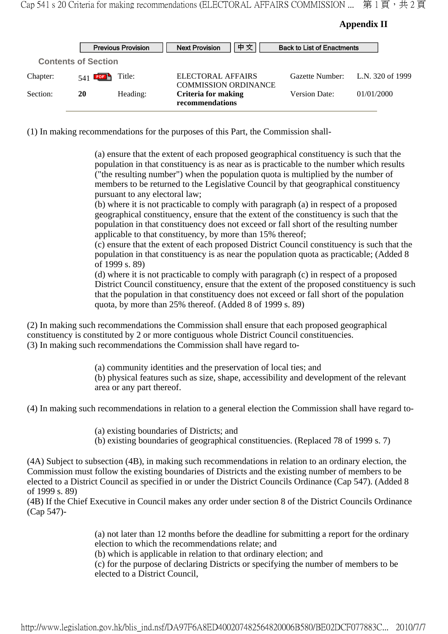#### **Appendix II**

|          |                            | <b>Previous Provision</b> | 中文<br><b>Next Provision</b>                      | <b>Back to List of Enactments</b> |                  |
|----------|----------------------------|---------------------------|--------------------------------------------------|-----------------------------------|------------------|
|          | <b>Contents of Section</b> |                           |                                                  |                                   |                  |
| Chapter: | $541$ <b>PDF</b>           | Title:                    | ELECTORAL AFFAIRS<br><b>COMMISSION ORDINANCE</b> | Gazette Number:                   | L.N. 320 of 1999 |
| Section: | 20                         | Heading:                  | <b>Criteria for making</b><br>recommendations    | <b>Version Date:</b>              | 01/01/2000       |

(1) In making recommendations for the purposes of this Part, the Commission shall-

(a) ensure that the extent of each proposed geographical constituency is such that the population in that constituency is as near as is practicable to the number which results ("the resulting number") when the population quota is multiplied by the number of members to be returned to the Legislative Council by that geographical constituency pursuant to any electoral law;

(b) where it is not practicable to comply with paragraph (a) in respect of a proposed geographical constituency, ensure that the extent of the constituency is such that the population in that constituency does not exceed or fall short of the resulting number applicable to that constituency, by more than 15% thereof;

(c) ensure that the extent of each proposed District Council constituency is such that the population in that constituency is as near the population quota as practicable; (Added 8 of 1999 s. 89)

(d) where it is not practicable to comply with paragraph (c) in respect of a proposed District Council constituency, ensure that the extent of the proposed constituency is such that the population in that constituency does not exceed or fall short of the population quota, by more than 25% thereof. (Added 8 of 1999 s. 89)

(2) In making such recommendations the Commission shall ensure that each proposed geographical constituency is constituted by 2 or more contiguous whole District Council constituencies. (3) In making such recommendations the Commission shall have regard to-

> (a) community identities and the preservation of local ties; and (b) physical features such as size, shape, accessibility and development of the relevant area or any part thereof.

(4) In making such recommendations in relation to a general election the Commission shall have regard to-

(a) existing boundaries of Districts; and

(b) existing boundaries of geographical constituencies. (Replaced 78 of 1999 s. 7)

(4A) Subject to subsection (4B), in making such recommendations in relation to an ordinary election, the Commission must follow the existing boundaries of Districts and the existing number of members to be elected to a District Council as specified in or under the District Councils Ordinance (Cap 547). (Added 8 of 1999 s. 89)

(4B) If the Chief Executive in Council makes any order under section 8 of the District Councils Ordinance (Cap 547)-

> (a) not later than 12 months before the deadline for submitting a report for the ordinary election to which the recommendations relate; and

(b) which is applicable in relation to that ordinary election; and

(c) for the purpose of declaring Districts or specifying the number of members to be elected to a District Council,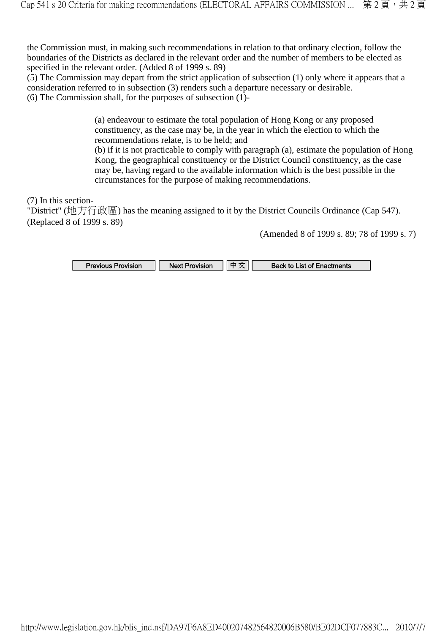the Commission must, in making such recommendations in relation to that ordinary election, follow the boundaries of the Districts as declared in the relevant order and the number of members to be elected as specified in the relevant order. (Added 8 of 1999 s. 89)

(5) The Commission may depart from the strict application of subsection (1) only where it appears that a consideration referred to in subsection (3) renders such a departure necessary or desirable. (6) The Commission shall, for the purposes of subsection  $(1)$ -

> (a) endeavour to estimate the total population of Hong Kong or any proposed constituency, as the case may be, in the year in which the election to which the recommendations relate, is to be held; and

(b) if it is not practicable to comply with paragraph (a), estimate the population of Hong Kong, the geographical constituency or the District Council constituency, as the case may be, having regard to the available information which is the best possible in the circumstances for the purpose of making recommendations.

(7) In this section-

"District" (地方行政區) has the meaning assigned to it by the District Councils Ordinance (Cap 547). (Replaced 8 of 1999 s. 89)

(Amended 8 of 1999 s. 89; 78 of 1999 s. 7)

| <b>Previous Provision</b> | Next Provision |  | <b>Back to List of Enactments</b> |
|---------------------------|----------------|--|-----------------------------------|
|---------------------------|----------------|--|-----------------------------------|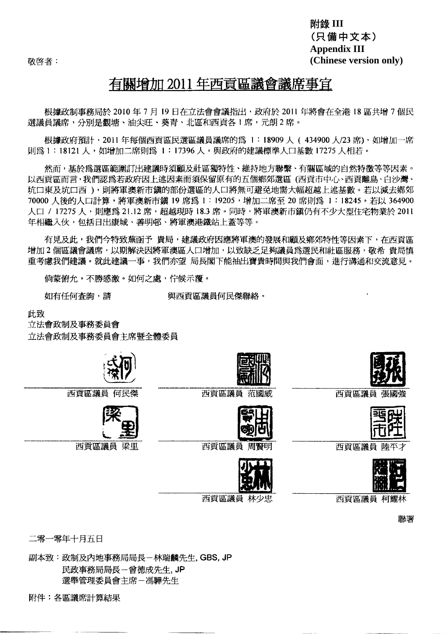敬啓者:

附錄 III (只備中文本) **Appendix III** (Chinese version only)

## 有關增加 2011年西貢區議會議席事官

根據政制事務局於 2010年7月19日在立法會會議指出,政府於 2011年將會在全港 18區共增7個民 選議員議席,分別是觀塘、油尖旺、葵青、北區和西貢各1席,元朗2席。

根據政府預計,2011年每個西貢區民選區議員議席的為 1:18909人 (434900人/23席),如增加一席 則爲 1:18121 人,如增加二席則爲 1:17396 人,與政府的建議標準人口基數 17275 人相若。

然而,基於為選區範圍訂出建議時須顧及社區獨特性、維持地方聯繫、有關區域的自然特徵等等因素。 以西貢區而言,我們認爲若政府因上述因素而須保留原有的五個鄉郊選區(西貢市中心、西貢離島、白沙灣、 坑口東及坑口西),則將軍澳新市鎮的部份選區的人口將無可避免地需大幅超越上述基數。若以減去鄉郊 70000 人後的人口計算,將軍澳新市鎮 19 席為 1:19205,增加二席至 20 席則為 1:18245。若以 364900 人口 / 17275 人,則應爲 21.12 席,超越現時 18.3 席。同時,將軍澳新市鑪仍有不少大型住宅物業於 2011 年相繼入伙,句括日出康城、善明邨、將軍速港鐵站上蓄等等。

有見及此,我們今特致蕪函予 貴局,建議政府因應將軍澳的發展和顧及鄉郊特性等因素下,在西貢區 增加2個區議會議席,以期解決因將軍澳區人口增加,以致缺乏足夠議員為選民和社區服務,敬希 貴局慎 重考慮我們建議。就此建議一事,我們亦望 局長閣下能抽出寶貴時間與我們會面,進行溝通和交流意見。

倘蒙俯允,不勝感激。如何之處,佇候示覆。

如有任何查詢,請

與西貢區議員何民傑聯絡。

叶致

立法會政制及事務委員會 立法會政制及事務委員會主席暨全體委員



西貢區議員 何民傑



西貢區議員 梁里



西貢區議員 范國威



西貢區議員



西貢區議員 張國強



西貢區議員



聯署

西貢區議員 柯耀林

二零一零年十月五日

副本致:政制及內地事務局局長-林瑞麟先生, GBS, JP 民政事務局局長一曾德成先生, JP 選舉管理委員會主席一馮驊先生

附件:各區議席計算結果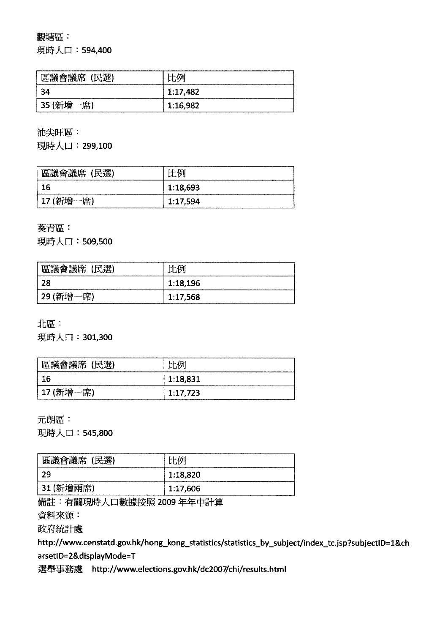#### 觀塘區:

現時人口: 594,400

| 區議會議席 (民選) | 比例       |
|------------|----------|
| -34        | 1:17,482 |
| '35 (新增一席) | 1:16,982 |

油尖旺區:

現時人口: 299,100

| 區議會議席 (民選) | 比例       |
|------------|----------|
| -16        | 1:18,693 |
| 17 (新增一席)  | 1:17,594 |

葵青區:

現時人口: 509,500

| 區議會議席 (民選) | 比例       |
|------------|----------|
| -28        | 1:18,196 |
| 29 (新增一席)  | 1:17,568 |

北區:

現時人口: 301,300

| 區議會議席 (民選)  | 上一人牙     |
|-------------|----------|
| 16          | 1:18,831 |
| ! 17 (新增一席) | 1:17,723 |

元朗區:

現時人口: 545,800

| 區議會議席 (民選)  | 正码       |
|-------------|----------|
| -29         | 1:18,820 |
| ' 31 (新增兩席) | 1:17,606 |

備註:有關現時人口數據按照 2009年年中計算

資料來源:

政府統計處

http://www.censtatd.gov.hk/hong\_kong\_statistics/statistics\_by\_subject/index\_tc.jsp?subjectID=1&ch arsetID=2&displayMode=T

選舉事務處 http://www.elections.gov.hk/dc2007/chi/results.html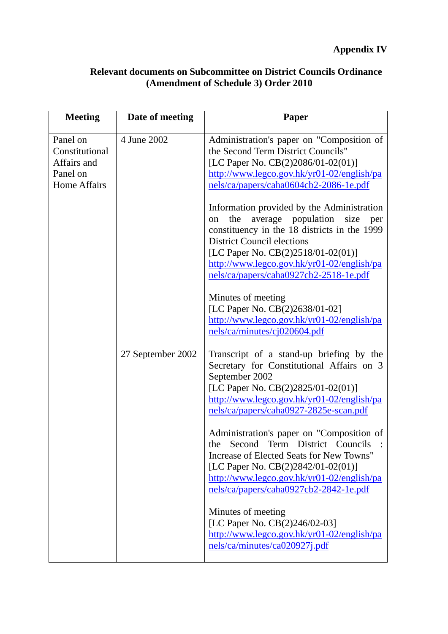| <b>Relevant documents on Subcommittee on District Councils Ordinance</b> |
|--------------------------------------------------------------------------|
| (Amendment of Schedule 3) Order 2010                                     |

| <b>Meeting</b>                                                               | Date of meeting   | Paper                                                                                                                                                                                                                                                                                                                      |
|------------------------------------------------------------------------------|-------------------|----------------------------------------------------------------------------------------------------------------------------------------------------------------------------------------------------------------------------------------------------------------------------------------------------------------------------|
| Panel on<br>Constitutional<br>Affairs and<br>Panel on<br><b>Home Affairs</b> | 4 June 2002       | Administration's paper on "Composition of<br>the Second Term District Councils"<br>[LC Paper No. CB(2)2086/01-02(01)]<br>http://www.legco.gov.hk/yr01-02/english/pa<br>nels/ca/papers/caha0604cb2-2086-1e.pdf                                                                                                              |
|                                                                              |                   | Information provided by the Administration<br>the<br>average population<br>size<br>per<br><sub>on</sub><br>constituency in the 18 districts in the 1999<br><b>District Council elections</b><br>[LC Paper No. CB(2)2518/01-02(01)]<br>http://www.legco.gov.hk/yr01-02/english/pa<br>nels/ca/papers/caha0927cb2-2518-1e.pdf |
|                                                                              |                   | Minutes of meeting<br>[LC Paper No. CB(2)2638/01-02]<br>http://www.legco.gov.hk/yr01-02/english/pa<br>nels/ca/minutes/cj020604.pdf                                                                                                                                                                                         |
|                                                                              | 27 September 2002 | Transcript of a stand-up briefing by the<br>Secretary for Constitutional Affairs on 3<br>September 2002<br>[LC Paper No. CB(2)2825/01-02(01)]<br>http://www.legco.gov.hk/yr01-02/english/pa<br>nels/ca/papers/caha0927-2825e-scan.pdf                                                                                      |
|                                                                              |                   | Administration's paper on "Composition of<br>the Second Term District Councils<br>Increase of Elected Seats for New Towns"<br>[LC Paper No. CB(2)2842/01-02(01)]<br>http://www.legco.gov.hk/yr01-02/english/pa<br>nels/ca/papers/caha0927cb2-2842-1e.pdf                                                                   |
|                                                                              |                   | Minutes of meeting<br>[LC Paper No. CB(2)246/02-03]<br>http://www.legco.gov.hk/yr01-02/english/pa<br>nels/ca/minutes/ca020927j.pdf                                                                                                                                                                                         |